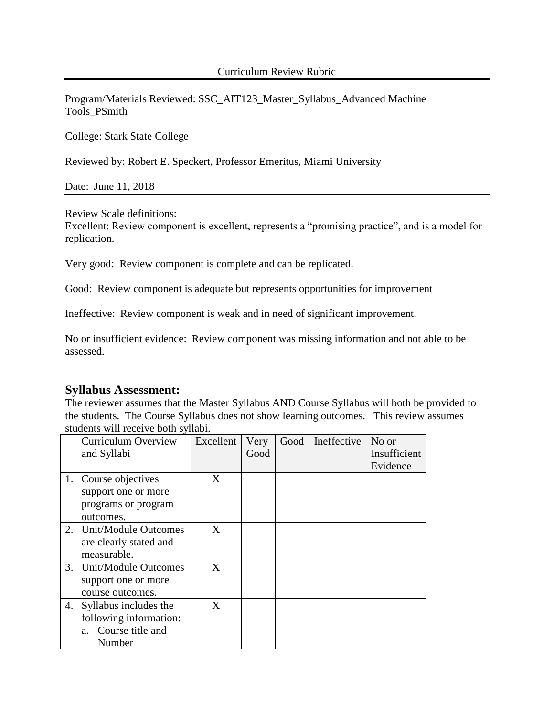Program/Materials Reviewed: SSC\_AIT123\_Master\_Syllabus\_Advanced Machine Tools\_PSmith

College: Stark State College

Reviewed by: Robert E. Speckert, Professor Emeritus, Miami University

Date: June 11, 2018

Review Scale definitions:

Excellent: Review component is excellent, represents a "promising practice", and is a model for replication.

Very good: Review component is complete and can be replicated.

Good: Review component is adequate but represents opportunities for improvement

Ineffective: Review component is weak and in need of significant improvement.

No or insufficient evidence: Review component was missing information and not able to be assessed.

# **Syllabus Assessment:**

The reviewer assumes that the Master Syllabus AND Course Syllabus will both be provided to the students. The Course Syllabus does not show learning outcomes. This review assumes students will receive both syllabi.

|    | <b>Curriculum Overview</b><br>and Syllabi | Excellent | Very<br>Good | Good | Ineffective | No or<br>Insufficient |
|----|-------------------------------------------|-----------|--------------|------|-------------|-----------------------|
|    |                                           |           |              |      |             | Evidence              |
|    | 1. Course objectives                      | X         |              |      |             |                       |
|    | support one or more                       |           |              |      |             |                       |
|    | programs or program                       |           |              |      |             |                       |
|    | outcomes.                                 |           |              |      |             |                       |
|    | 2. Unit/Module Outcomes                   | X         |              |      |             |                       |
|    | are clearly stated and                    |           |              |      |             |                       |
|    | measurable.                               |           |              |      |             |                       |
|    | 3. Unit/Module Outcomes                   | X         |              |      |             |                       |
|    | support one or more                       |           |              |      |             |                       |
|    | course outcomes.                          |           |              |      |             |                       |
| 4. | Syllabus includes the                     | X         |              |      |             |                       |
|    | following information:                    |           |              |      |             |                       |
|    | Course title and<br>a.                    |           |              |      |             |                       |
|    | Number                                    |           |              |      |             |                       |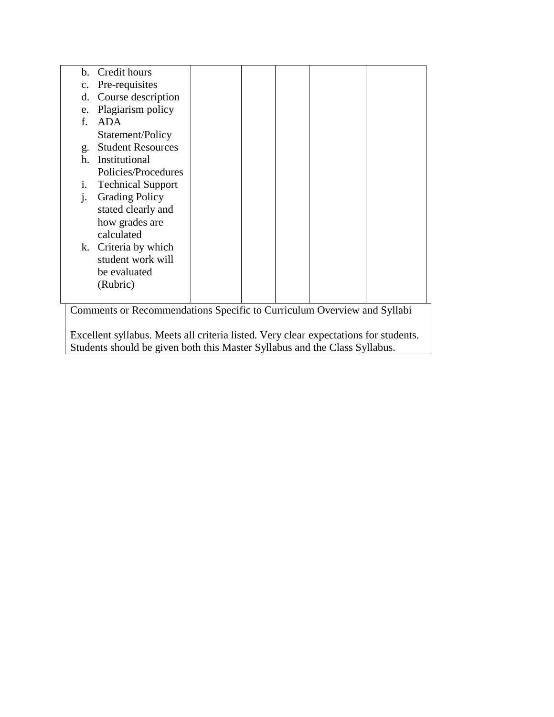| b.                                                                      | Credit hours             |  |  |  |  |  |
|-------------------------------------------------------------------------|--------------------------|--|--|--|--|--|
| $\mathbf{c}$ .                                                          | Pre-requisites           |  |  |  |  |  |
| d.                                                                      | Course description       |  |  |  |  |  |
| e.                                                                      | Plagiarism policy        |  |  |  |  |  |
| f.                                                                      | ADA                      |  |  |  |  |  |
|                                                                         | Statement/Policy         |  |  |  |  |  |
| g.                                                                      | <b>Student Resources</b> |  |  |  |  |  |
| h.                                                                      | Institutional            |  |  |  |  |  |
|                                                                         | Policies/Procedures      |  |  |  |  |  |
| i.                                                                      | <b>Technical Support</b> |  |  |  |  |  |
| $\mathbf{1}$                                                            | <b>Grading Policy</b>    |  |  |  |  |  |
|                                                                         | stated clearly and       |  |  |  |  |  |
|                                                                         | how grades are           |  |  |  |  |  |
|                                                                         | calculated               |  |  |  |  |  |
| k.                                                                      | Criteria by which        |  |  |  |  |  |
|                                                                         | student work will        |  |  |  |  |  |
|                                                                         | be evaluated             |  |  |  |  |  |
|                                                                         | (Rubric)                 |  |  |  |  |  |
|                                                                         |                          |  |  |  |  |  |
| Comments or Recommendations Specific to Curriculum Overview and Syllabi |                          |  |  |  |  |  |
|                                                                         |                          |  |  |  |  |  |

Excellent syllabus. Meets all criteria listed. Very clear expectations for students. Students should be given both this Master Syllabus and the Class Syllabus.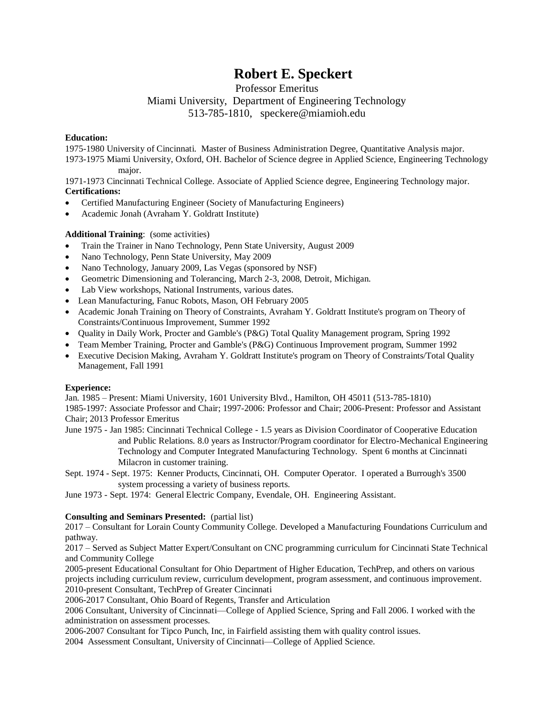# **Robert E. Speckert**

Professor Emeritus

Miami University, Department of Engineering Technology

513-785-1810, speckere@miamioh.edu

### **Education:**

1975-1980 University of Cincinnati. Master of Business Administration Degree, Quantitative Analysis major. 1973-1975 Miami University, Oxford, OH. Bachelor of Science degree in Applied Science, Engineering Technology major.

1971-1973 Cincinnati Technical College. Associate of Applied Science degree, Engineering Technology major. **Certifications:**

- Certified Manufacturing Engineer (Society of Manufacturing Engineers)
- Academic Jonah (Avraham Y. Goldratt Institute)

## **Additional Training**: (some activities)

- Train the Trainer in Nano Technology, Penn State University, August 2009
- Nano Technology, Penn State University, May 2009
- Nano Technology, January 2009, Las Vegas (sponsored by NSF)
- Geometric Dimensioning and Tolerancing, March 2-3, 2008, Detroit, Michigan.
- Lab View workshops, National Instruments, various dates.
- Lean Manufacturing, Fanuc Robots, Mason, OH February 2005
- Academic Jonah Training on Theory of Constraints, Avraham Y. Goldratt Institute's program on Theory of Constraints/Continuous Improvement, Summer 1992
- Quality in Daily Work, Procter and Gamble's (P&G) Total Quality Management program, Spring 1992
- Team Member Training, Procter and Gamble's (P&G) Continuous Improvement program, Summer 1992
- Executive Decision Making, Avraham Y. Goldratt Institute's program on Theory of Constraints/Total Quality Management, Fall 1991

### **Experience:**

Jan. 1985 – Present: Miami University, 1601 University Blvd., Hamilton, OH 45011 (513-785-1810) 1985-1997: Associate Professor and Chair; 1997-2006: Professor and Chair; 2006-Present: Professor and Assistant Chair; 2013 Professor Emeritus

- June 1975 Jan 1985: Cincinnati Technical College 1.5 years as Division Coordinator of Cooperative Education and Public Relations. 8.0 years as Instructor/Program coordinator for Electro-Mechanical Engineering Technology and Computer Integrated Manufacturing Technology. Spent 6 months at Cincinnati Milacron in customer training.
- Sept. 1974 Sept. 1975: Kenner Products, Cincinnati, OH. Computer Operator. I operated a Burrough's 3500 system processing a variety of business reports.

June 1973 - Sept. 1974: General Electric Company, Evendale, OH. Engineering Assistant.

### **Consulting and Seminars Presented:** (partial list)

2017 – Consultant for Lorain County Community College. Developed a Manufacturing Foundations Curriculum and pathway.

2017 – Served as Subject Matter Expert/Consultant on CNC programming curriculum for Cincinnati State Technical and Community College

2005-present Educational Consultant for Ohio Department of Higher Education, TechPrep, and others on various projects including curriculum review, curriculum development, program assessment, and continuous improvement. 2010-present Consultant, TechPrep of Greater Cincinnati

2006-2017 Consultant, Ohio Board of Regents, Transfer and Articulation

2006 Consultant, University of Cincinnati—College of Applied Science, Spring and Fall 2006. I worked with the administration on assessment processes.

2006-2007 Consultant for Tipco Punch, Inc, in Fairfield assisting them with quality control issues.

2004 Assessment Consultant, University of Cincinnati—College of Applied Science.